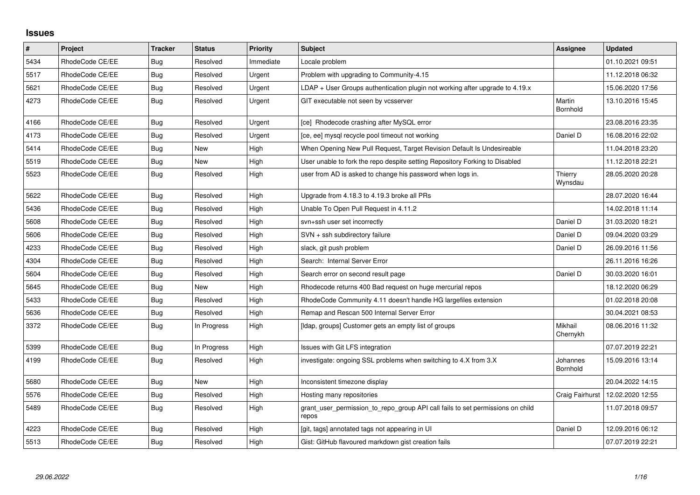## **Issues**

| $\vert$ # | Project         | <b>Tracker</b> | <b>Status</b> | <b>Priority</b> | <b>Subject</b>                                                                          | Assignee             | <b>Updated</b>   |
|-----------|-----------------|----------------|---------------|-----------------|-----------------------------------------------------------------------------------------|----------------------|------------------|
| 5434      | RhodeCode CE/EE | Bug            | Resolved      | Immediate       | Locale problem                                                                          |                      | 01.10.2021 09:51 |
| 5517      | RhodeCode CE/EE | <b>Bug</b>     | Resolved      | Urgent          | Problem with upgrading to Community-4.15                                                |                      | 11.12.2018 06:32 |
| 5621      | RhodeCode CE/EE | <b>Bug</b>     | Resolved      | Urgent          | $LDAP + User Groups$ authentication plugin not working after upgrade to 4.19. $x$       |                      | 15.06.2020 17:56 |
| 4273      | RhodeCode CE/EE | Bug            | Resolved      | Urgent          | GIT executable not seen by vcsserver                                                    | Martin<br>Bornhold   | 13.10.2016 15:45 |
| 4166      | RhodeCode CE/EE | Bug            | Resolved      | Urgent          | [ce] Rhodecode crashing after MySQL error                                               |                      | 23.08.2016 23:35 |
| 4173      | RhodeCode CE/EE | Bug            | Resolved      | Urgent          | [ce, ee] mysql recycle pool timeout not working                                         | Daniel D             | 16.08.2016 22:02 |
| 5414      | RhodeCode CE/EE | Bug            | <b>New</b>    | High            | When Opening New Pull Request, Target Revision Default Is Undesireable                  |                      | 11.04.2018 23:20 |
| 5519      | RhodeCode CE/EE | <b>Bug</b>     | <b>New</b>    | High            | User unable to fork the repo despite setting Repository Forking to Disabled             |                      | 11.12.2018 22:21 |
| 5523      | RhodeCode CE/EE | Bug            | Resolved      | High            | user from AD is asked to change his password when logs in.                              | Thierry<br>Wynsdau   | 28.05.2020 20:28 |
| 5622      | RhodeCode CE/EE | Bug            | Resolved      | High            | Upgrade from 4.18.3 to 4.19.3 broke all PRs                                             |                      | 28.07.2020 16:44 |
| 5436      | RhodeCode CE/EE | Bug            | Resolved      | High            | Unable To Open Pull Request in 4.11.2                                                   |                      | 14.02.2018 11:14 |
| 5608      | RhodeCode CE/EE | <b>Bug</b>     | Resolved      | High            | svn+ssh user set incorrectly                                                            | Daniel D             | 31.03.2020 18:21 |
| 5606      | RhodeCode CE/EE | Bug            | Resolved      | High            | SVN + ssh subdirectory failure                                                          | Daniel D             | 09.04.2020 03:29 |
| 4233      | RhodeCode CE/EE | <b>Bug</b>     | Resolved      | High            | slack, git push problem                                                                 | Daniel D             | 26.09.2016 11:56 |
| 4304      | RhodeCode CE/EE | Bug            | Resolved      | High            | Search: Internal Server Error                                                           |                      | 26.11.2016 16:26 |
| 5604      | RhodeCode CE/EE | <b>Bug</b>     | Resolved      | High            | Search error on second result page                                                      | Daniel D             | 30.03.2020 16:01 |
| 5645      | RhodeCode CE/EE | Bug            | <b>New</b>    | High            | Rhodecode returns 400 Bad request on huge mercurial repos                               |                      | 18.12.2020 06:29 |
| 5433      | RhodeCode CE/EE | <b>Bug</b>     | Resolved      | High            | RhodeCode Community 4.11 doesn't handle HG largefiles extension                         |                      | 01.02.2018 20:08 |
| 5636      | RhodeCode CE/EE | Bug            | Resolved      | High            | Remap and Rescan 500 Internal Server Error                                              |                      | 30.04.2021 08:53 |
| 3372      | RhodeCode CE/EE | <b>Bug</b>     | In Progress   | High            | [Idap, groups] Customer gets an empty list of groups                                    | Mikhail<br>Chernykh  | 08.06.2016 11:32 |
| 5399      | RhodeCode CE/EE | Bug            | In Progress   | High            | Issues with Git LFS integration                                                         |                      | 07.07.2019 22:21 |
| 4199      | RhodeCode CE/EE | <b>Bug</b>     | Resolved      | High            | investigate: ongoing SSL problems when switching to 4.X from 3.X                        | Johannes<br>Bornhold | 15.09.2016 13:14 |
| 5680      | RhodeCode CE/EE | <b>Bug</b>     | <b>New</b>    | High            | Inconsistent timezone display                                                           |                      | 20.04.2022 14:15 |
| 5576      | RhodeCode CE/EE | Bug            | Resolved      | High            | Hosting many repositories                                                               | Craig Fairhurst      | 12.02.2020 12:55 |
| 5489      | RhodeCode CE/EE | Bug            | Resolved      | High            | grant_user_permission_to_repo_group API call fails to set permissions on child<br>repos |                      | 11.07.2018 09:57 |
| 4223      | RhodeCode CE/EE | Bug            | Resolved      | High            | [git, tags] annotated tags not appearing in UI                                          | Daniel D             | 12.09.2016 06:12 |
| 5513      | RhodeCode CE/EE | Bug            | Resolved      | High            | Gist: GitHub flavoured markdown gist creation fails                                     |                      | 07.07.2019 22:21 |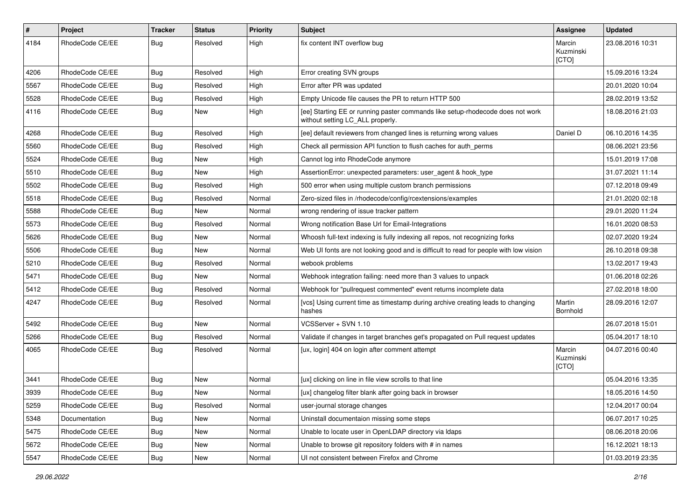| $\pmb{\#}$ | Project         | <b>Tracker</b> | <b>Status</b> | <b>Priority</b> | <b>Subject</b>                                                                                                     | Assignee                     | <b>Updated</b>   |
|------------|-----------------|----------------|---------------|-----------------|--------------------------------------------------------------------------------------------------------------------|------------------------------|------------------|
| 4184       | RhodeCode CE/EE | Bug            | Resolved      | High            | fix content INT overflow bug                                                                                       | Marcin<br>Kuzminski<br>[CTO] | 23.08.2016 10:31 |
| 4206       | RhodeCode CE/EE | Bug            | Resolved      | High            | Error creating SVN groups                                                                                          |                              | 15.09.2016 13:24 |
| 5567       | RhodeCode CE/EE | Bug            | Resolved      | High            | Error after PR was updated                                                                                         |                              | 20.01.2020 10:04 |
| 5528       | RhodeCode CE/EE | <b>Bug</b>     | Resolved      | High            | Empty Unicode file causes the PR to return HTTP 500                                                                |                              | 28.02.2019 13:52 |
| 4116       | RhodeCode CE/EE | Bug            | New           | High            | [ee] Starting EE or running paster commands like setup-rhodecode does not work<br>without setting LC ALL properly. |                              | 18.08.2016 21:03 |
| 4268       | RhodeCode CE/EE | Bug            | Resolved      | High            | [ee] default reviewers from changed lines is returning wrong values                                                | Daniel D                     | 06.10.2016 14:35 |
| 5560       | RhodeCode CE/EE | Bug            | Resolved      | High            | Check all permission API function to flush caches for auth_perms                                                   |                              | 08.06.2021 23:56 |
| 5524       | RhodeCode CE/EE | Bug            | New           | High            | Cannot log into RhodeCode anymore                                                                                  |                              | 15.01.2019 17:08 |
| 5510       | RhodeCode CE/EE | <b>Bug</b>     | New           | High            | AssertionError: unexpected parameters: user_agent & hook_type                                                      |                              | 31.07.2021 11:14 |
| 5502       | RhodeCode CE/EE | Bug            | Resolved      | High            | 500 error when using multiple custom branch permissions                                                            |                              | 07.12.2018 09:49 |
| 5518       | RhodeCode CE/EE | <b>Bug</b>     | Resolved      | Normal          | Zero-sized files in /rhodecode/config/rcextensions/examples                                                        |                              | 21.01.2020 02:18 |
| 5588       | RhodeCode CE/EE | <b>Bug</b>     | <b>New</b>    | Normal          | wrong rendering of issue tracker pattern                                                                           |                              | 29.01.2020 11:24 |
| 5573       | RhodeCode CE/EE | <b>Bug</b>     | Resolved      | Normal          | Wrong notification Base Url for Email-Integrations                                                                 |                              | 16.01.2020 08:53 |
| 5626       | RhodeCode CE/EE | Bug            | New           | Normal          | Whoosh full-text indexing is fully indexing all repos, not recognizing forks                                       |                              | 02.07.2020 19:24 |
| 5506       | RhodeCode CE/EE | Bug            | New           | Normal          | Web UI fonts are not looking good and is difficult to read for people with low vision                              |                              | 26.10.2018 09:38 |
| 5210       | RhodeCode CE/EE | <b>Bug</b>     | Resolved      | Normal          | webook problems                                                                                                    |                              | 13.02.2017 19:43 |
| 5471       | RhodeCode CE/EE | Bug            | <b>New</b>    | Normal          | Webhook integration failing: need more than 3 values to unpack                                                     |                              | 01.06.2018 02:26 |
| 5412       | RhodeCode CE/EE | Bug            | Resolved      | Normal          | Webhook for "pullrequest commented" event returns incomplete data                                                  |                              | 27.02.2018 18:00 |
| 4247       | RhodeCode CE/EE | Bug            | Resolved      | Normal          | [vcs] Using current time as timestamp during archive creating leads to changing<br>hashes                          | Martin<br>Bornhold           | 28.09.2016 12:07 |
| 5492       | RhodeCode CE/EE | Bug            | <b>New</b>    | Normal          | VCSServer + SVN 1.10                                                                                               |                              | 26.07.2018 15:01 |
| 5266       | RhodeCode CE/EE | Bug            | Resolved      | Normal          | Validate if changes in target branches get's propagated on Pull request updates                                    |                              | 05.04.2017 18:10 |
| 4065       | RhodeCode CE/EE | <b>Bug</b>     | Resolved      | Normal          | [ux, login] 404 on login after comment attempt                                                                     | Marcin<br>Kuzminski<br>[CTO] | 04.07.2016 00:40 |
| 3441       | RhodeCode CE/EE | <b>Bug</b>     | New           | Normal          | [ux] clicking on line in file view scrolls to that line                                                            |                              | 05.04.2016 13:35 |
| 3939       | RhodeCode CE/EE | Bug            | <b>New</b>    | Normal          | [ux] changelog filter blank after going back in browser                                                            |                              | 18.05.2016 14:50 |
| 5259       | RhodeCode CE/EE | <b>Bug</b>     | Resolved      | Normal          | user-journal storage changes                                                                                       |                              | 12.04.2017 00:04 |
| 5348       | Documentation   | <b>Bug</b>     | New           | Normal          | Uninstall documentaion missing some steps                                                                          |                              | 06.07.2017 10:25 |
| 5475       | RhodeCode CE/EE | <b>Bug</b>     | New           | Normal          | Unable to locate user in OpenLDAP directory via Idaps                                                              |                              | 08.06.2018 20:06 |
| 5672       | RhodeCode CE/EE | Bug            | New           | Normal          | Unable to browse git repository folders with # in names                                                            |                              | 16.12.2021 18:13 |
| 5547       | RhodeCode CE/EE | <b>Bug</b>     | New           | Normal          | UI not consistent between Firefox and Chrome                                                                       |                              | 01.03.2019 23:35 |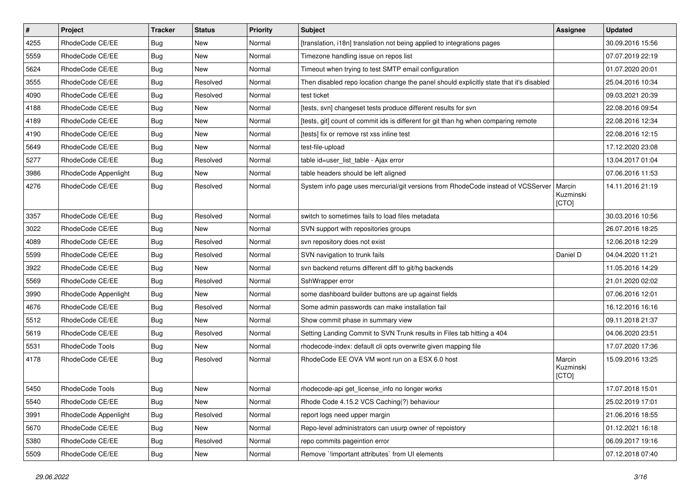| $\vert$ # | Project              | <b>Tracker</b> | <b>Status</b> | <b>Priority</b> | <b>Subject</b>                                                                          | <b>Assignee</b>              | <b>Updated</b>   |
|-----------|----------------------|----------------|---------------|-----------------|-----------------------------------------------------------------------------------------|------------------------------|------------------|
| 4255      | RhodeCode CE/EE      | Bug            | New           | Normal          | [translation, i18n] translation not being applied to integrations pages                 |                              | 30.09.2016 15:56 |
| 5559      | RhodeCode CE/EE      | Bug            | <b>New</b>    | Normal          | Timezone handling issue on repos list                                                   |                              | 07.07.2019 22:19 |
| 5624      | RhodeCode CE/EE      | Bug            | New           | Normal          | Timeout when trying to test SMTP email configuration                                    |                              | 01.07.2020 20:01 |
| 3555      | RhodeCode CE/EE      | Bug            | Resolved      | Normal          | Then disabled repo location change the panel should explicitly state that it's disabled |                              | 25.04.2016 10:34 |
| 4090      | RhodeCode CE/EE      | <b>Bug</b>     | Resolved      | Normal          | test ticket                                                                             |                              | 09.03.2021 20:39 |
| 4188      | RhodeCode CE/EE      | Bug            | New           | Normal          | [tests, svn] changeset tests produce different results for svn                          |                              | 22.08.2016 09:54 |
| 4189      | RhodeCode CE/EE      | Bug            | New           | Normal          | [tests, git] count of commit ids is different for git than hg when comparing remote     |                              | 22.08.2016 12:34 |
| 4190      | RhodeCode CE/EE      | Bug            | New           | Normal          | [tests] fix or remove rst xss inline test                                               |                              | 22.08.2016 12:15 |
| 5649      | RhodeCode CE/EE      | Bug            | New           | Normal          | test-file-upload                                                                        |                              | 17.12.2020 23:08 |
| 5277      | RhodeCode CE/EE      | Bug            | Resolved      | Normal          | table id=user_list_table - Ajax error                                                   |                              | 13.04.2017 01:04 |
| 3986      | RhodeCode Appenlight | Bug            | New           | Normal          | table headers should be left aligned                                                    |                              | 07.06.2016 11:53 |
| 4276      | RhodeCode CE/EE      | Bug            | Resolved      | Normal          | System info page uses mercurial/git versions from RhodeCode instead of VCSServer        | Marcin<br>Kuzminski<br>[CTO] | 14.11.2016 21:19 |
| 3357      | RhodeCode CE/EE      | Bug            | Resolved      | Normal          | switch to sometimes fails to load files metadata                                        |                              | 30.03.2016 10:56 |
| 3022      | RhodeCode CE/EE      | <b>Bug</b>     | <b>New</b>    | Normal          | SVN support with repositories groups                                                    |                              | 26.07.2016 18:25 |
| 4089      | RhodeCode CE/EE      | Bug            | Resolved      | Normal          | svn repository does not exist                                                           |                              | 12.06.2018 12:29 |
| 5599      | RhodeCode CE/EE      | Bug            | Resolved      | Normal          | SVN navigation to trunk fails                                                           | Daniel D                     | 04.04.2020 11:21 |
| 3922      | RhodeCode CE/EE      | Bug            | New           | Normal          | svn backend returns different diff to git/hg backends                                   |                              | 11.05.2016 14:29 |
| 5569      | RhodeCode CE/EE      | Bug            | Resolved      | Normal          | SshWrapper error                                                                        |                              | 21.01.2020 02:02 |
| 3990      | RhodeCode Appenlight | Bug            | New           | Normal          | some dashboard builder buttons are up against fields                                    |                              | 07.06.2016 12:01 |
| 4676      | RhodeCode CE/EE      | Bug            | Resolved      | Normal          | Some admin passwords can make installation fail                                         |                              | 16.12.2016 16:16 |
| 5512      | RhodeCode CE/EE      | Bug            | <b>New</b>    | Normal          | Show commit phase in summary view                                                       |                              | 09.11.2018 21:37 |
| 5619      | RhodeCode CE/EE      | Bug            | Resolved      | Normal          | Setting Landing Commit to SVN Trunk results in Files tab hitting a 404                  |                              | 04.06.2020 23:51 |
| 5531      | RhodeCode Tools      | Bug            | <b>New</b>    | Normal          | rhodecode-index: default cli opts overwrite given mapping file                          |                              | 17.07.2020 17:36 |
| 4178      | RhodeCode CE/EE      | Bug            | Resolved      | Normal          | RhodeCode EE OVA VM wont run on a ESX 6.0 host                                          | Marcin<br>Kuzminski<br>[CTO] | 15.09.2016 13:25 |
| 5450      | RhodeCode Tools      | <b>Bug</b>     | <b>New</b>    | Normal          | rhodecode-api get_license_info no longer works                                          |                              | 17.07.2018 15:01 |
| 5540      | RhodeCode CE/EE      | Bug            | New           | Normal          | Rhode Code 4.15.2 VCS Caching(?) behaviour                                              |                              | 25.02.2019 17:01 |
| 3991      | RhodeCode Appenlight | Bug            | Resolved      | Normal          | report logs need upper margin                                                           |                              | 21.06.2016 18:55 |
| 5670      | RhodeCode CE/EE      | Bug            | New           | Normal          | Repo-level administrators can usurp owner of repoistory                                 |                              | 01.12.2021 16:18 |
| 5380      | RhodeCode CE/EE      | <b>Bug</b>     | Resolved      | Normal          | repo commits pageintion error                                                           |                              | 06.09.2017 19:16 |
| 5509      | RhodeCode CE/EE      | <b>Bug</b>     | New           | Normal          | Remove `limportant attributes` from UI elements                                         |                              | 07.12.2018 07:40 |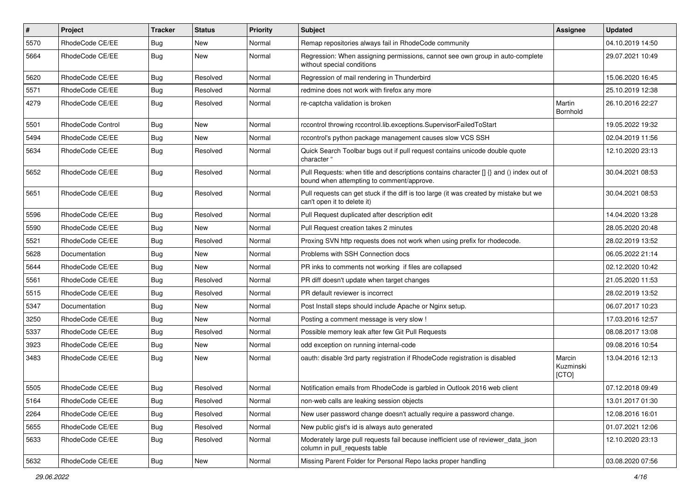| $\pmb{\#}$ | <b>Project</b>    | <b>Tracker</b> | <b>Status</b> | <b>Priority</b> | <b>Subject</b>                                                                                                                       | Assignee                     | <b>Updated</b>   |
|------------|-------------------|----------------|---------------|-----------------|--------------------------------------------------------------------------------------------------------------------------------------|------------------------------|------------------|
| 5570       | RhodeCode CE/EE   | <b>Bug</b>     | New           | Normal          | Remap repositories always fail in RhodeCode community                                                                                |                              | 04.10.2019 14:50 |
| 5664       | RhodeCode CE/EE   | Bug            | New           | Normal          | Regression: When assigning permissions, cannot see own group in auto-complete<br>without special conditions                          |                              | 29.07.2021 10:49 |
| 5620       | RhodeCode CE/EE   | Bug            | Resolved      | Normal          | Regression of mail rendering in Thunderbird                                                                                          |                              | 15.06.2020 16:45 |
| 5571       | RhodeCode CE/EE   | Bug            | Resolved      | Normal          | redmine does not work with firefox any more                                                                                          |                              | 25.10.2019 12:38 |
| 4279       | RhodeCode CE/EE   | Bug            | Resolved      | Normal          | re-captcha validation is broken                                                                                                      | Martin<br>Bornhold           | 26.10.2016 22:27 |
| 5501       | RhodeCode Control | <b>Bug</b>     | New           | Normal          | rccontrol throwing rccontrol.lib.exceptions.SupervisorFailedToStart                                                                  |                              | 19.05.2022 19:32 |
| 5494       | RhodeCode CE/EE   | Bug            | <b>New</b>    | Normal          | rccontrol's python package management causes slow VCS SSH                                                                            |                              | 02.04.2019 11:56 |
| 5634       | RhodeCode CE/EE   | Bug            | Resolved      | Normal          | Quick Search Toolbar bugs out if pull request contains unicode double quote<br>character "                                           |                              | 12.10.2020 23:13 |
| 5652       | RhodeCode CE/EE   | Bug            | Resolved      | Normal          | Pull Requests: when title and descriptions contains character [] {} and () index out of<br>bound when attempting to comment/approve. |                              | 30.04.2021 08:53 |
| 5651       | RhodeCode CE/EE   | Bug            | Resolved      | Normal          | Pull requests can get stuck if the diff is too large (it was created by mistake but we<br>can't open it to delete it)                |                              | 30.04.2021 08:53 |
| 5596       | RhodeCode CE/EE   | Bug            | Resolved      | Normal          | Pull Request duplicated after description edit                                                                                       |                              | 14.04.2020 13:28 |
| 5590       | RhodeCode CE/EE   | Bug            | New           | Normal          | Pull Request creation takes 2 minutes                                                                                                |                              | 28.05.2020 20:48 |
| 5521       | RhodeCode CE/EE   | Bug            | Resolved      | Normal          | Proxing SVN http requests does not work when using prefix for rhodecode.                                                             |                              | 28.02.2019 13:52 |
| 5628       | Documentation     | Bug            | New           | Normal          | Problems with SSH Connection docs                                                                                                    |                              | 06.05.2022 21:14 |
| 5644       | RhodeCode CE/EE   | <b>Bug</b>     | New           | Normal          | PR inks to comments not working if files are collapsed                                                                               |                              | 02.12.2020 10:42 |
| 5561       | RhodeCode CE/EE   | Bug            | Resolved      | Normal          | PR diff doesn't update when target changes                                                                                           |                              | 21.05.2020 11:53 |
| 5515       | RhodeCode CE/EE   | Bug            | Resolved      | Normal          | PR default reviewer is incorrect                                                                                                     |                              | 28.02.2019 13:52 |
| 5347       | Documentation     | Bug            | New           | Normal          | Post Install steps should include Apache or Nginx setup.                                                                             |                              | 06.07.2017 10:23 |
| 3250       | RhodeCode CE/EE   | Bug            | New           | Normal          | Posting a comment message is very slow !                                                                                             |                              | 17.03.2016 12:57 |
| 5337       | RhodeCode CE/EE   | <b>Bug</b>     | Resolved      | Normal          | Possible memory leak after few Git Pull Requests                                                                                     |                              | 08.08.2017 13:08 |
| 3923       | RhodeCode CE/EE   | Bug            | <b>New</b>    | Normal          | odd exception on running internal-code                                                                                               |                              | 09.08.2016 10:54 |
| 3483       | RhodeCode CE/EE   | Bug            | New           | Normal          | oauth: disable 3rd party registration if RhodeCode registration is disabled                                                          | Marcin<br>Kuzminski<br>[CTO] | 13.04.2016 12:13 |
| 5505       | RhodeCode CE/EE   | Bug            | Resolved      | Normal          | Notification emails from RhodeCode is garbled in Outlook 2016 web client                                                             |                              | 07.12.2018 09:49 |
| 5164       | RhodeCode CE/EE   | <b>Bug</b>     | Resolved      | Normal          | non-web calls are leaking session objects                                                                                            |                              | 13.01.2017 01:30 |
| 2264       | RhodeCode CE/EE   | Bug            | Resolved      | Normal          | New user password change doesn't actually require a password change.                                                                 |                              | 12.08.2016 16:01 |
| 5655       | RhodeCode CE/EE   | Bug            | Resolved      | Normal          | New public gist's id is always auto generated                                                                                        |                              | 01.07.2021 12:06 |
| 5633       | RhodeCode CE/EE   | <b>Bug</b>     | Resolved      | Normal          | Moderately large pull requests fail because inefficient use of reviewer data json<br>column in pull_requests table                   |                              | 12.10.2020 23:13 |
| 5632       | RhodeCode CE/EE   | Bug            | New           | Normal          | Missing Parent Folder for Personal Repo lacks proper handling                                                                        |                              | 03.08.2020 07:56 |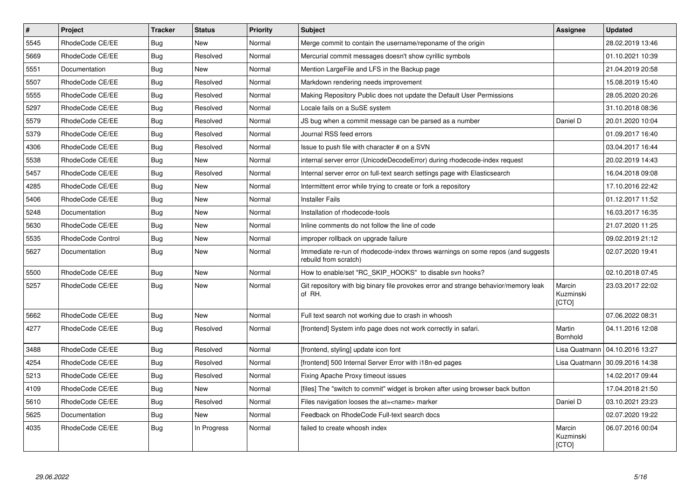| $\sharp$ | <b>Project</b>    | <b>Tracker</b> | <b>Status</b> | Priority | <b>Subject</b>                                                                                           | <b>Assignee</b>                     | <b>Updated</b>   |
|----------|-------------------|----------------|---------------|----------|----------------------------------------------------------------------------------------------------------|-------------------------------------|------------------|
| 5545     | RhodeCode CE/EE   | Bug            | <b>New</b>    | Normal   | Merge commit to contain the username/reponame of the origin                                              |                                     | 28.02.2019 13:46 |
| 5669     | RhodeCode CE/EE   | <b>Bug</b>     | Resolved      | Normal   | Mercurial commit messages doesn't show cyrillic symbols                                                  |                                     | 01.10.2021 10:39 |
| 5551     | Documentation     | Bug            | New           | Normal   | Mention LargeFile and LFS in the Backup page                                                             |                                     | 21.04.2019 20:58 |
| 5507     | RhodeCode CE/EE   | <b>Bug</b>     | Resolved      | Normal   | Markdown rendering needs improvement                                                                     |                                     | 15.08.2019 15:40 |
| 5555     | RhodeCode CE/EE   | Bug            | Resolved      | Normal   | Making Repository Public does not update the Default User Permissions                                    |                                     | 28.05.2020 20:26 |
| 5297     | RhodeCode CE/EE   | Bug            | Resolved      | Normal   | Locale fails on a SuSE system                                                                            |                                     | 31.10.2018 08:36 |
| 5579     | RhodeCode CE/EE   | Bug            | Resolved      | Normal   | JS bug when a commit message can be parsed as a number                                                   | Daniel D                            | 20.01.2020 10:04 |
| 5379     | RhodeCode CE/EE   | Bug            | Resolved      | Normal   | Journal RSS feed errors                                                                                  |                                     | 01.09.2017 16:40 |
| 4306     | RhodeCode CE/EE   | Bug            | Resolved      | Normal   | Issue to push file with character # on a SVN                                                             |                                     | 03.04.2017 16:44 |
| 5538     | RhodeCode CE/EE   | Bug            | New           | Normal   | internal server error (UnicodeDecodeError) during rhodecode-index request                                |                                     | 20.02.2019 14:43 |
| 5457     | RhodeCode CE/EE   | Bug            | Resolved      | Normal   | Internal server error on full-text search settings page with Elasticsearch                               |                                     | 16.04.2018 09:08 |
| 4285     | RhodeCode CE/EE   | Bug            | <b>New</b>    | Normal   | Intermittent error while trying to create or fork a repository                                           |                                     | 17.10.2016 22:42 |
| 5406     | RhodeCode CE/EE   | Bug            | <b>New</b>    | Normal   | <b>Installer Fails</b>                                                                                   |                                     | 01.12.2017 11:52 |
| 5248     | Documentation     | Bug            | New           | Normal   | Installation of rhodecode-tools                                                                          |                                     | 16.03.2017 16:35 |
| 5630     | RhodeCode CE/EE   | Bug            | <b>New</b>    | Normal   | Inline comments do not follow the line of code                                                           |                                     | 21.07.2020 11:25 |
| 5535     | RhodeCode Control | Bug            | <b>New</b>    | Normal   | improper rollback on upgrade failure                                                                     |                                     | 09.02.2019 21:12 |
| 5627     | Documentation     | <b>Bug</b>     | <b>New</b>    | Normal   | Immediate re-run of rhodecode-index throws warnings on some repos (and suggests<br>rebuild from scratch) |                                     | 02.07.2020 19:41 |
| 5500     | RhodeCode CE/EE   | <b>Bug</b>     | New           | Normal   | How to enable/set "RC_SKIP_HOOKS" to disable svn hooks?                                                  |                                     | 02.10.2018 07:45 |
| 5257     | RhodeCode CE/EE   | <b>Bug</b>     | New           | Normal   | Git repository with big binary file provokes error and strange behavior/memory leak<br>of RH.            | Marcin<br>Kuzminski<br><b>[CTO]</b> | 23.03.2017 22:02 |
| 5662     | RhodeCode CE/EE   | Bug            | New           | Normal   | Full text search not working due to crash in whoosh                                                      |                                     | 07.06.2022 08:31 |
| 4277     | RhodeCode CE/EE   | Bug            | Resolved      | Normal   | [frontend] System info page does not work correctly in safari.                                           | Martin<br>Bornhold                  | 04.11.2016 12:08 |
| 3488     | RhodeCode CE/EE   | Bug            | Resolved      | Normal   | [frontend, styling] update icon font                                                                     | Lisa Quatmann                       | 04.10.2016 13:27 |
| 4254     | RhodeCode CE/EE   | <b>Bug</b>     | Resolved      | Normal   | [frontend] 500 Internal Server Error with i18n-ed pages                                                  | Lisa Quatmann                       | 30.09.2016 14:38 |
| 5213     | RhodeCode CE/EE   | Bug            | Resolved      | Normal   | Fixing Apache Proxy timeout issues                                                                       |                                     | 14.02.2017 09:44 |
| 4109     | RhodeCode CE/EE   | <b>Bug</b>     | <b>New</b>    | Normal   | [files] The "switch to commit" widget is broken after using browser back button                          |                                     | 17.04.2018 21:50 |
| 5610     | RhodeCode CE/EE   | Bug            | Resolved      | Normal   | Files navigation looses the at= <name> marker</name>                                                     | Daniel D                            | 03.10.2021 23:23 |
| 5625     | Documentation     | <b>Bug</b>     | <b>New</b>    | Normal   | Feedback on RhodeCode Full-text search docs                                                              |                                     | 02.07.2020 19:22 |
| 4035     | RhodeCode CE/EE   | <b>Bug</b>     | In Progress   | Normal   | failed to create whoosh index                                                                            | Marcin<br>Kuzminski<br>[CTO]        | 06.07.2016 00:04 |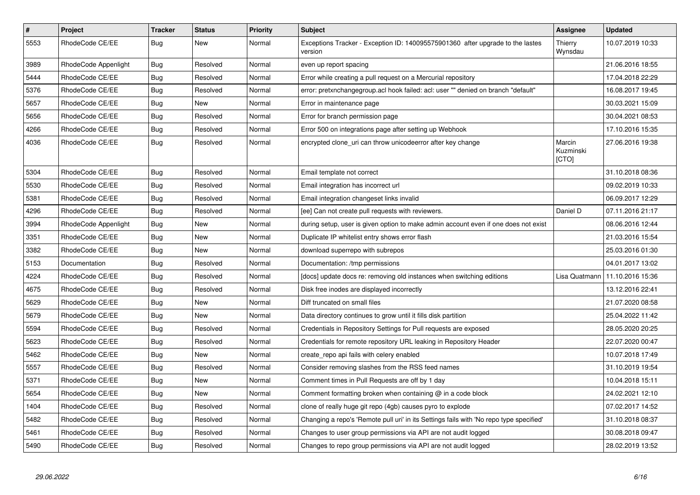| $\pmb{\#}$ | <b>Project</b>       | <b>Tracker</b> | <b>Status</b> | <b>Priority</b> | <b>Subject</b>                                                                            | Assignee                     | <b>Updated</b>   |
|------------|----------------------|----------------|---------------|-----------------|-------------------------------------------------------------------------------------------|------------------------------|------------------|
| 5553       | RhodeCode CE/EE      | Bug            | <b>New</b>    | Normal          | Exceptions Tracker - Exception ID: 140095575901360 after upgrade to the lastes<br>version | Thierry<br>Wynsdau           | 10.07.2019 10:33 |
| 3989       | RhodeCode Appenlight | Bug            | Resolved      | Normal          | even up report spacing                                                                    |                              | 21.06.2016 18:55 |
| 5444       | RhodeCode CE/EE      | Bug            | Resolved      | Normal          | Error while creating a pull request on a Mercurial repository                             |                              | 17.04.2018 22:29 |
| 5376       | RhodeCode CE/EE      | Bug            | Resolved      | Normal          | error: pretxnchangegroup.acl hook failed: acl: user "" denied on branch "default"         |                              | 16.08.2017 19:45 |
| 5657       | RhodeCode CE/EE      | Bug            | New           | Normal          | Error in maintenance page                                                                 |                              | 30.03.2021 15:09 |
| 5656       | RhodeCode CE/EE      | <b>Bug</b>     | Resolved      | Normal          | Error for branch permission page                                                          |                              | 30.04.2021 08:53 |
| 4266       | RhodeCode CE/EE      | Bug            | Resolved      | Normal          | Error 500 on integrations page after setting up Webhook                                   |                              | 17.10.2016 15:35 |
| 4036       | RhodeCode CE/EE      | Bug            | Resolved      | Normal          | encrypted clone uri can throw unicodeerror after key change                               | Marcin<br>Kuzminski<br>[CTO] | 27.06.2016 19:38 |
| 5304       | RhodeCode CE/EE      | Bug            | Resolved      | Normal          | Email template not correct                                                                |                              | 31.10.2018 08:36 |
| 5530       | RhodeCode CE/EE      | Bug            | Resolved      | Normal          | Email integration has incorrect url                                                       |                              | 09.02.2019 10:33 |
| 5381       | RhodeCode CE/EE      | <b>Bug</b>     | Resolved      | Normal          | Email integration changeset links invalid                                                 |                              | 06.09.2017 12:29 |
| 4296       | RhodeCode CE/EE      | <b>Bug</b>     | Resolved      | Normal          | [ee] Can not create pull requests with reviewers.                                         | Daniel D                     | 07.11.2016 21:17 |
| 3994       | RhodeCode Appenlight | Bug            | New           | Normal          | during setup, user is given option to make admin account even if one does not exist       |                              | 08.06.2016 12:44 |
| 3351       | RhodeCode CE/EE      | <b>Bug</b>     | New           | Normal          | Duplicate IP whitelist entry shows error flash                                            |                              | 21.03.2016 15:54 |
| 3382       | RhodeCode CE/EE      | Bug            | New           | Normal          | download superrepo with subrepos                                                          |                              | 25.03.2016 01:30 |
| 5153       | Documentation        | Bug            | Resolved      | Normal          | Documentation: /tmp permissions                                                           |                              | 04.01.2017 13:02 |
| 4224       | RhodeCode CE/EE      | <b>Bug</b>     | Resolved      | Normal          | [docs] update docs re: removing old instances when switching editions                     | Lisa Quatmann                | 11.10.2016 15:36 |
| 4675       | RhodeCode CE/EE      | <b>Bug</b>     | Resolved      | Normal          | Disk free inodes are displayed incorrectly                                                |                              | 13.12.2016 22:41 |
| 5629       | RhodeCode CE/EE      | Bug            | <b>New</b>    | Normal          | Diff truncated on small files                                                             |                              | 21.07.2020 08:58 |
| 5679       | RhodeCode CE/EE      | Bug            | New           | Normal          | Data directory continues to grow until it fills disk partition                            |                              | 25.04.2022 11:42 |
| 5594       | RhodeCode CE/EE      | Bug            | Resolved      | Normal          | Credentials in Repository Settings for Pull requests are exposed                          |                              | 28.05.2020 20:25 |
| 5623       | RhodeCode CE/EE      | Bug            | Resolved      | Normal          | Credentials for remote repository URL leaking in Repository Header                        |                              | 22.07.2020 00:47 |
| 5462       | RhodeCode CE/EE      | Bug            | <b>New</b>    | Normal          | create repo api fails with celery enabled                                                 |                              | 10.07.2018 17:49 |
| 5557       | RhodeCode CE/EE      | Bug            | Resolved      | Normal          | Consider removing slashes from the RSS feed names                                         |                              | 31.10.2019 19:54 |
| 5371       | RhodeCode CE/EE      | Bug            | <b>New</b>    | Normal          | Comment times in Pull Requests are off by 1 day                                           |                              | 10.04.2018 15:11 |
| 5654       | RhodeCode CE/EE      | Bug            | <b>New</b>    | Normal          | Comment formatting broken when containing @ in a code block                               |                              | 24.02.2021 12:10 |
| 1404       | RhodeCode CE/EE      | Bug            | Resolved      | Normal          | clone of really huge git repo (4gb) causes pyro to explode                                |                              | 07.02.2017 14:52 |
| 5482       | RhodeCode CE/EE      | Bug            | Resolved      | Normal          | Changing a repo's 'Remote pull uri' in its Settings fails with 'No repo type specified'   |                              | 31.10.2018 08:37 |
| 5461       | RhodeCode CE/EE      | Bug            | Resolved      | Normal          | Changes to user group permissions via API are not audit logged                            |                              | 30.08.2018 09:47 |
| 5490       | RhodeCode CE/EE      | Bug            | Resolved      | Normal          | Changes to repo group permissions via API are not audit logged                            |                              | 28.02.2019 13:52 |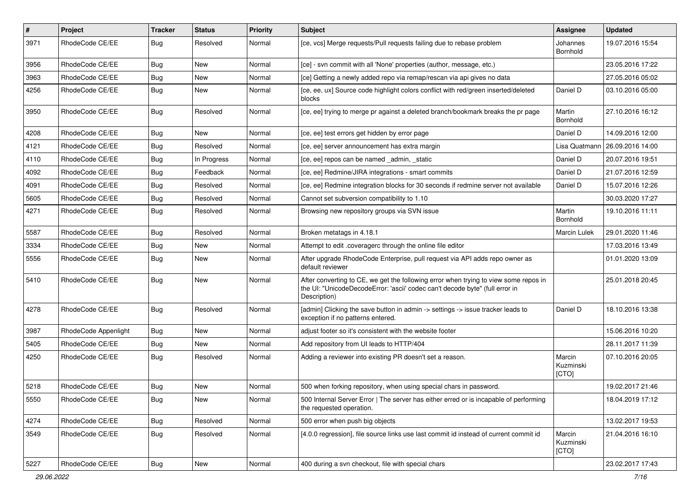| #    | Project              | <b>Tracker</b> | <b>Status</b> | <b>Priority</b> | <b>Subject</b>                                                                                                                                                                       | <b>Assignee</b>              | <b>Updated</b>   |
|------|----------------------|----------------|---------------|-----------------|--------------------------------------------------------------------------------------------------------------------------------------------------------------------------------------|------------------------------|------------------|
| 3971 | RhodeCode CE/EE      | Bug            | Resolved      | Normal          | [ce, vcs] Merge requests/Pull requests failing due to rebase problem                                                                                                                 | Johannes<br><b>Bornhold</b>  | 19.07.2016 15:54 |
| 3956 | RhodeCode CE/EE      | Bug            | New           | Normal          | [ce] - svn commit with all 'None' properties (author, message, etc.)                                                                                                                 |                              | 23.05.2016 17:22 |
| 3963 | RhodeCode CE/EE      | Bug            | New           | Normal          | [ce] Getting a newly added repo via remap/rescan via api gives no data                                                                                                               |                              | 27.05.2016 05:02 |
| 4256 | RhodeCode CE/EE      | Bug            | <b>New</b>    | Normal          | [ce, ee, ux] Source code highlight colors conflict with red/green inserted/deleted<br>blocks                                                                                         | Daniel D                     | 03.10.2016 05:00 |
| 3950 | RhodeCode CE/EE      | Bug            | Resolved      | Normal          | [ce, ee] trying to merge pr against a deleted branch/bookmark breaks the pr page                                                                                                     | Martin<br>Bornhold           | 27.10.2016 16:12 |
| 4208 | RhodeCode CE/EE      | Bug            | New           | Normal          | [ce, ee] test errors get hidden by error page                                                                                                                                        | Daniel D                     | 14.09.2016 12:00 |
| 4121 | RhodeCode CE/EE      | Bug            | Resolved      | Normal          | [ce, ee] server announcement has extra margin                                                                                                                                        | Lisa Quatmann                | 26.09.2016 14:00 |
| 4110 | RhodeCode CE/EE      | Bug            | In Progress   | Normal          | [ce, ee] repos can be named _admin, _static                                                                                                                                          | Daniel D                     | 20.07.2016 19:51 |
| 4092 | RhodeCode CE/EE      | Bug            | Feedback      | Normal          | [ce, ee] Redmine/JIRA integrations - smart commits                                                                                                                                   | Daniel D                     | 21.07.2016 12:59 |
| 4091 | RhodeCode CE/EE      | Bug            | Resolved      | Normal          | [ce, ee] Redmine integration blocks for 30 seconds if redmine server not available                                                                                                   | Daniel D                     | 15.07.2016 12:26 |
| 5605 | RhodeCode CE/EE      | Bug            | Resolved      | Normal          | Cannot set subversion compatibility to 1.10                                                                                                                                          |                              | 30.03.2020 17:27 |
| 4271 | RhodeCode CE/EE      | Bug            | Resolved      | Normal          | Browsing new repository groups via SVN issue                                                                                                                                         | Martin<br>Bornhold           | 19.10.2016 11:11 |
| 5587 | RhodeCode CE/EE      | Bug            | Resolved      | Normal          | Broken metatags in 4.18.1                                                                                                                                                            | <b>Marcin Lulek</b>          | 29.01.2020 11:46 |
| 3334 | RhodeCode CE/EE      | Bug            | <b>New</b>    | Normal          | Attempt to edit .coveragerc through the online file editor                                                                                                                           |                              | 17.03.2016 13:49 |
| 5556 | RhodeCode CE/EE      | Bug            | New           | Normal          | After upgrade RhodeCode Enterprise, pull request via API adds repo owner as<br>default reviewer                                                                                      |                              | 01.01.2020 13:09 |
| 5410 | RhodeCode CE/EE      | <b>Bug</b>     | <b>New</b>    | Normal          | After converting to CE, we get the following error when trying to view some repos in<br>the UI: "UnicodeDecodeError: 'ascii' codec can't decode byte" (full error in<br>Description) |                              | 25.01.2018 20:45 |
| 4278 | RhodeCode CE/EE      | Bug            | Resolved      | Normal          | [admin] Clicking the save button in admin -> settings -> issue tracker leads to<br>exception if no patterns entered.                                                                 | Daniel D                     | 18.10.2016 13:38 |
| 3987 | RhodeCode Appenlight | Bug            | <b>New</b>    | Normal          | adjust footer so it's consistent with the website footer                                                                                                                             |                              | 15.06.2016 10:20 |
| 5405 | RhodeCode CE/EE      | Bug            | New           | Normal          | Add repository from UI leads to HTTP/404                                                                                                                                             |                              | 28.11.2017 11:39 |
| 4250 | RhodeCode CE/EE      | Bug            | Resolved      | Normal          | Adding a reviewer into existing PR doesn't set a reason.                                                                                                                             | Marcin<br>Kuzminski<br>[CTO] | 07.10.2016 20:05 |
| 5218 | RhodeCode CE/EE      | Bug            | <b>New</b>    | Normal          | 500 when forking repository, when using special chars in password.                                                                                                                   |                              | 19.02.2017 21:46 |
| 5550 | RhodeCode CE/EE      | <b>Bug</b>     | New           | Normal          | 500 Internal Server Error   The server has either erred or is incapable of performing<br>the requested operation.                                                                    |                              | 18.04.2019 17:12 |
| 4274 | RhodeCode CE/EE      | Bug            | Resolved      | Normal          | 500 error when push big objects                                                                                                                                                      |                              | 13.02.2017 19:53 |
| 3549 | RhodeCode CE/EE      | Bug            | Resolved      | Normal          | [4.0.0 regression], file source links use last commit id instead of current commit id                                                                                                | Marcin<br>Kuzminski<br>[CTO] | 21.04.2016 16:10 |
| 5227 | RhodeCode CE/EE      | <b>Bug</b>     | New           | Normal          | 400 during a svn checkout, file with special chars                                                                                                                                   |                              | 23.02.2017 17:43 |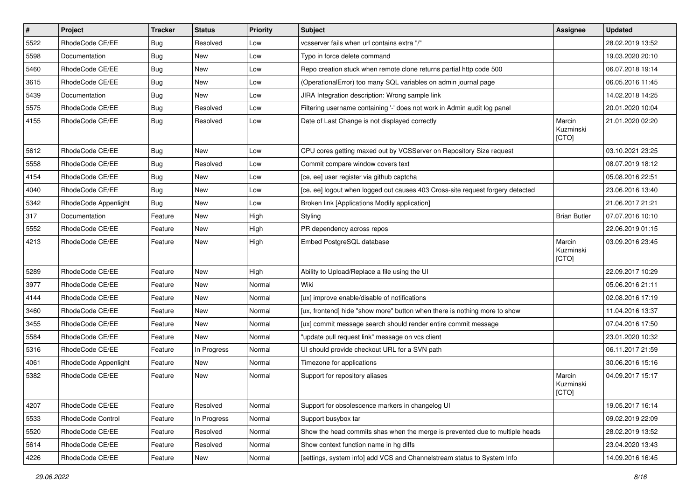| $\vert$ # | Project              | <b>Tracker</b> | <b>Status</b> | Priority | <b>Subject</b>                                                                 | <b>Assignee</b>              | <b>Updated</b>   |
|-----------|----------------------|----------------|---------------|----------|--------------------------------------------------------------------------------|------------------------------|------------------|
| 5522      | RhodeCode CE/EE      | Bug            | Resolved      | Low      | vcsserver fails when url contains extra "/"                                    |                              | 28.02.2019 13:52 |
| 5598      | Documentation        | Bug            | <b>New</b>    | Low      | Typo in force delete command                                                   |                              | 19.03.2020 20:10 |
| 5460      | RhodeCode CE/EE      | Bug            | New           | Low      | Repo creation stuck when remote clone returns partial http code 500            |                              | 06.07.2018 19:14 |
| 3615      | RhodeCode CE/EE      | Bug            | New           | Low      | (OperationalError) too many SQL variables on admin journal page                |                              | 06.05.2016 11:45 |
| 5439      | Documentation        | Bug            | New           | Low      | JIRA Integration description: Wrong sample link                                |                              | 14.02.2018 14:25 |
| 5575      | RhodeCode CE/EE      | Bug            | Resolved      | Low      | Filtering username containing '-' does not work in Admin audit log panel       |                              | 20.01.2020 10:04 |
| 4155      | RhodeCode CE/EE      | Bug            | Resolved      | Low      | Date of Last Change is not displayed correctly                                 | Marcin<br>Kuzminski<br>[CTO] | 21.01.2020 02:20 |
| 5612      | RhodeCode CE/EE      | Bug            | <b>New</b>    | Low      | CPU cores getting maxed out by VCSServer on Repository Size request            |                              | 03.10.2021 23:25 |
| 5558      | RhodeCode CE/EE      | Bug            | Resolved      | Low      | Commit compare window covers text                                              |                              | 08.07.2019 18:12 |
| 4154      | RhodeCode CE/EE      | Bug            | New           | Low      | [ce, ee] user register via github captcha                                      |                              | 05.08.2016 22:51 |
| 4040      | RhodeCode CE/EE      | Bug            | <b>New</b>    | Low      | [ce, ee] logout when logged out causes 403 Cross-site request forgery detected |                              | 23.06.2016 13:40 |
| 5342      | RhodeCode Appenlight | Bug            | New           | Low      | Broken link [Applications Modify application]                                  |                              | 21.06.2017 21:21 |
| 317       | Documentation        | Feature        | <b>New</b>    | High     | Styling                                                                        | <b>Brian Butler</b>          | 07.07.2016 10:10 |
| 5552      | RhodeCode CE/EE      | Feature        | New           | High     | PR dependency across repos                                                     |                              | 22.06.2019 01:15 |
| 4213      | RhodeCode CE/EE      | Feature        | New           | High     | Embed PostgreSQL database                                                      | Marcin<br>Kuzminski<br>[CTO] | 03.09.2016 23:45 |
| 5289      | RhodeCode CE/EE      | Feature        | <b>New</b>    | High     | Ability to Upload/Replace a file using the UI                                  |                              | 22.09.2017 10:29 |
| 3977      | RhodeCode CE/EE      | Feature        | <b>New</b>    | Normal   | Wiki                                                                           |                              | 05.06.2016 21:11 |
| 4144      | RhodeCode CE/EE      | Feature        | New           | Normal   | [ux] improve enable/disable of notifications                                   |                              | 02.08.2016 17:19 |
| 3460      | RhodeCode CE/EE      | Feature        | <b>New</b>    | Normal   | [ux, frontend] hide "show more" button when there is nothing more to show      |                              | 11.04.2016 13:37 |
| 3455      | RhodeCode CE/EE      | Feature        | New           | Normal   | [ux] commit message search should render entire commit message                 |                              | 07.04.2016 17:50 |
| 5584      | RhodeCode CE/EE      | Feature        | New           | Normal   | "update pull request link" message on vcs client                               |                              | 23.01.2020 10:32 |
| 5316      | RhodeCode CE/EE      | Feature        | In Progress   | Normal   | UI should provide checkout URL for a SVN path                                  |                              | 06.11.2017 21:59 |
| 4061      | RhodeCode Appenlight | Feature        | New           | Normal   | Timezone for applications                                                      |                              | 30.06.2016 15:16 |
| 5382      | RhodeCode CE/EE      | Feature        | <b>New</b>    | Normal   | Support for repository aliases                                                 | Marcin<br>Kuzminski<br>[CTO] | 04.09.2017 15:17 |
| 4207      | RhodeCode CE/EE      | Feature        | Resolved      | Normal   | Support for obsolescence markers in changelog UI                               |                              | 19.05.2017 16:14 |
| 5533      | RhodeCode Control    | Feature        | In Progress   | Normal   | Support busybox tar                                                            |                              | 09.02.2019 22:09 |
| 5520      | RhodeCode CE/EE      | Feature        | Resolved      | Normal   | Show the head commits shas when the merge is prevented due to multiple heads   |                              | 28.02.2019 13:52 |
| 5614      | RhodeCode CE/EE      | Feature        | Resolved      | Normal   | Show context function name in hg diffs                                         |                              | 23.04.2020 13:43 |
| 4226      | RhodeCode CE/EE      | Feature        | New           | Normal   | [settings, system info] add VCS and Channelstream status to System Info        |                              | 14.09.2016 16:45 |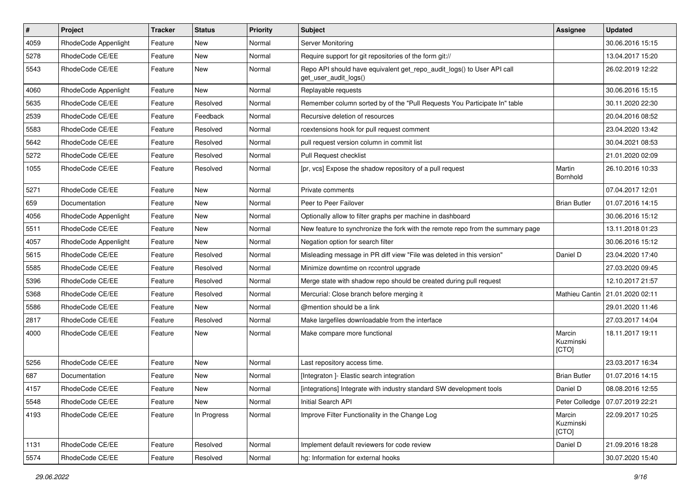| $\sharp$ | Project              | Tracker | <b>Status</b> | <b>Priority</b> | Subject                                                                                         | Assignee                     | Updated          |
|----------|----------------------|---------|---------------|-----------------|-------------------------------------------------------------------------------------------------|------------------------------|------------------|
| 4059     | RhodeCode Appenlight | Feature | New           | Normal          | Server Monitoring                                                                               |                              | 30.06.2016 15:15 |
| 5278     | RhodeCode CE/EE      | Feature | New           | Normal          | Require support for git repositories of the form git://                                         |                              | 13.04.2017 15:20 |
| 5543     | RhodeCode CE/EE      | Feature | New           | Normal          | Repo API should have equivalent get_repo_audit_logs() to User API call<br>get_user_audit_logs() |                              | 26.02.2019 12:22 |
| 4060     | RhodeCode Appenlight | Feature | <b>New</b>    | Normal          | Replayable requests                                                                             |                              | 30.06.2016 15:15 |
| 5635     | RhodeCode CE/EE      | Feature | Resolved      | Normal          | Remember column sorted by of the "Pull Requests You Participate In" table                       |                              | 30.11.2020 22:30 |
| 2539     | RhodeCode CE/EE      | Feature | Feedback      | Normal          | Recursive deletion of resources                                                                 |                              | 20.04.2016 08:52 |
| 5583     | RhodeCode CE/EE      | Feature | Resolved      | Normal          | rcextensions hook for pull request comment                                                      |                              | 23.04.2020 13:42 |
| 5642     | RhodeCode CE/EE      | Feature | Resolved      | Normal          | pull request version column in commit list                                                      |                              | 30.04.2021 08:53 |
| 5272     | RhodeCode CE/EE      | Feature | Resolved      | Normal          | Pull Request checklist                                                                          |                              | 21.01.2020 02:09 |
| 1055     | RhodeCode CE/EE      | Feature | Resolved      | Normal          | [pr, vcs] Expose the shadow repository of a pull request                                        | Martin<br>Bornhold           | 26.10.2016 10:33 |
| 5271     | RhodeCode CE/EE      | Feature | New           | Normal          | Private comments                                                                                |                              | 07.04.2017 12:01 |
| 659      | Documentation        | Feature | New           | Normal          | Peer to Peer Failover                                                                           | <b>Brian Butler</b>          | 01.07.2016 14:15 |
| 4056     | RhodeCode Appenlight | Feature | <b>New</b>    | Normal          | Optionally allow to filter graphs per machine in dashboard                                      |                              | 30.06.2016 15:12 |
| 5511     | RhodeCode CE/EE      | Feature | New           | Normal          | New feature to synchronize the fork with the remote repo from the summary page                  |                              | 13.11.2018 01:23 |
| 4057     | RhodeCode Appenlight | Feature | New           | Normal          | Negation option for search filter                                                               |                              | 30.06.2016 15:12 |
| 5615     | RhodeCode CE/EE      | Feature | Resolved      | Normal          | Misleading message in PR diff view "File was deleted in this version"                           | Daniel D                     | 23.04.2020 17:40 |
| 5585     | RhodeCode CE/EE      | Feature | Resolved      | Normal          | Minimize downtime on rccontrol upgrade                                                          |                              | 27.03.2020 09:45 |
| 5396     | RhodeCode CE/EE      | Feature | Resolved      | Normal          | Merge state with shadow repo should be created during pull request                              |                              | 12.10.2017 21:57 |
| 5368     | RhodeCode CE/EE      | Feature | Resolved      | Normal          | Mercurial: Close branch before merging it                                                       | Mathieu Cantin               | 21.01.2020 02:11 |
| 5586     | RhodeCode CE/EE      | Feature | New           | Normal          | @mention should be a link                                                                       |                              | 29.01.2020 11:46 |
| 2817     | RhodeCode CE/EE      | Feature | Resolved      | Normal          | Make largefiles downloadable from the interface                                                 |                              | 27.03.2017 14:04 |
| 4000     | RhodeCode CE/EE      | Feature | New           | Normal          | Make compare more functional                                                                    | Marcin<br>Kuzminski<br>[CTO] | 18.11.2017 19:11 |
| 5256     | RhodeCode CE/EE      | Feature | New           | Normal          | Last repository access time.                                                                    |                              | 23.03.2017 16:34 |
| 687      | Documentation        | Feature | New           | Normal          | [Integraton] - Elastic search integration                                                       | <b>Brian Butler</b>          | 01.07.2016 14:15 |
| 4157     | RhodeCode CE/EE      | Feature | New           | Normal          | [integrations] Integrate with industry standard SW development tools                            | Daniel D                     | 08.08.2016 12:55 |
| 5548     | RhodeCode CE/EE      | Feature | New           | Normal          | Initial Search API                                                                              | Peter Colledge               | 07.07.2019 22:21 |
| 4193     | RhodeCode CE/EE      | Feature | In Progress   | Normal          | Improve Filter Functionality in the Change Log                                                  | Marcin<br>Kuzminski<br>[CTO] | 22.09.2017 10:25 |
| 1131     | RhodeCode CE/EE      | Feature | Resolved      | Normal          | Implement default reviewers for code review                                                     | Daniel D                     | 21.09.2016 18:28 |
| 5574     | RhodeCode CE/EE      | Feature | Resolved      | Normal          | hg: Information for external hooks                                                              |                              | 30.07.2020 15:40 |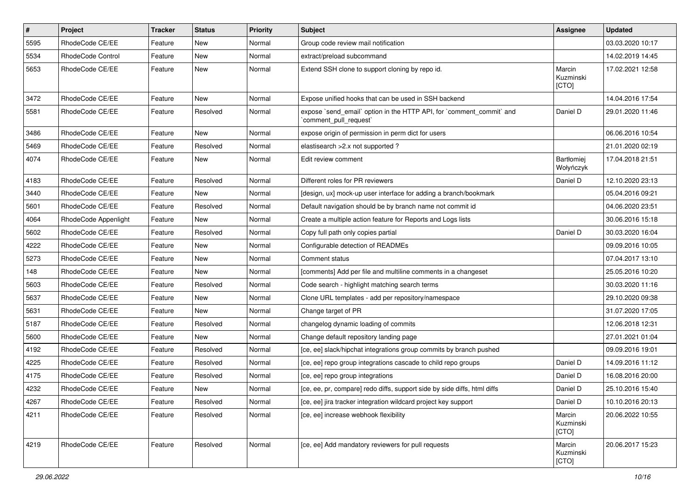| $\vert$ # | Project                  | Tracker | <b>Status</b> | <b>Priority</b> | Subject                                                                                        | Assignee                     | Updated          |
|-----------|--------------------------|---------|---------------|-----------------|------------------------------------------------------------------------------------------------|------------------------------|------------------|
| 5595      | RhodeCode CE/EE          | Feature | New           | Normal          | Group code review mail notification                                                            |                              | 03.03.2020 10:17 |
| 5534      | <b>RhodeCode Control</b> | Feature | New           | Normal          | extract/preload subcommand                                                                     |                              | 14.02.2019 14:45 |
| 5653      | RhodeCode CE/EE          | Feature | <b>New</b>    | Normal          | Extend SSH clone to support cloning by repo id.                                                | Marcin<br>Kuzminski<br>[CTO] | 17.02.2021 12:58 |
| 3472      | RhodeCode CE/EE          | Feature | <b>New</b>    | Normal          | Expose unified hooks that can be used in SSH backend                                           |                              | 14.04.2016 17:54 |
| 5581      | RhodeCode CE/EE          | Feature | Resolved      | Normal          | expose `send_email` option in the HTTP API, for `comment_commit` and<br>`comment_pull_request` | Daniel D                     | 29.01.2020 11:46 |
| 3486      | RhodeCode CE/EE          | Feature | New           | Normal          | expose origin of permission in perm dict for users                                             |                              | 06.06.2016 10:54 |
| 5469      | RhodeCode CE/EE          | Feature | Resolved      | Normal          | elastisearch > 2.x not supported ?                                                             |                              | 21.01.2020 02:19 |
| 4074      | RhodeCode CE/EE          | Feature | New           | Normal          | Edit review comment                                                                            | Bartłomiej<br>Wołyńczyk      | 17.04.2018 21:51 |
| 4183      | RhodeCode CE/EE          | Feature | Resolved      | Normal          | Different roles for PR reviewers                                                               | Daniel D                     | 12.10.2020 23:13 |
| 3440      | RhodeCode CE/EE          | Feature | New           | Normal          | [design, ux] mock-up user interface for adding a branch/bookmark                               |                              | 05.04.2016 09:21 |
| 5601      | RhodeCode CE/EE          | Feature | Resolved      | Normal          | Default navigation should be by branch name not commit id                                      |                              | 04.06.2020 23:51 |
| 4064      | RhodeCode Appenlight     | Feature | New           | Normal          | Create a multiple action feature for Reports and Logs lists                                    |                              | 30.06.2016 15:18 |
| 5602      | RhodeCode CE/EE          | Feature | Resolved      | Normal          | Copy full path only copies partial                                                             | Daniel D                     | 30.03.2020 16:04 |
| 4222      | RhodeCode CE/EE          | Feature | New           | Normal          | Configurable detection of READMEs                                                              |                              | 09.09.2016 10:05 |
| 5273      | RhodeCode CE/EE          | Feature | New           | Normal          | Comment status                                                                                 |                              | 07.04.2017 13:10 |
| 148       | RhodeCode CE/EE          | Feature | New           | Normal          | [comments] Add per file and multiline comments in a changeset                                  |                              | 25.05.2016 10:20 |
| 5603      | RhodeCode CE/EE          | Feature | Resolved      | Normal          | Code search - highlight matching search terms                                                  |                              | 30.03.2020 11:16 |
| 5637      | RhodeCode CE/EE          | Feature | New           | Normal          | Clone URL templates - add per repository/namespace                                             |                              | 29.10.2020 09:38 |
| 5631      | RhodeCode CE/EE          | Feature | <b>New</b>    | Normal          | Change target of PR                                                                            |                              | 31.07.2020 17:05 |
| 5187      | RhodeCode CE/EE          | Feature | Resolved      | Normal          | changelog dynamic loading of commits                                                           |                              | 12.06.2018 12:31 |
| 5600      | RhodeCode CE/EE          | Feature | New           | Normal          | Change default repository landing page                                                         |                              | 27.01.2021 01:04 |
| 4192      | RhodeCode CE/EE          | Feature | Resolved      | Normal          | [ce, ee] slack/hipchat integrations group commits by branch pushed                             |                              | 09.09.2016 19:01 |
| 4225      | RhodeCode CE/EE          | Feature | Resolved      | Normal          | [ce, ee] repo group integrations cascade to child repo groups                                  | Daniel D                     | 14.09.2016 11:12 |
| 4175      | RhodeCode CE/EE          | Feature | Resolved      | Normal          | [ce, ee] repo group integrations                                                               | Daniel D                     | 16.08.2016 20:00 |
| 4232      | RhodeCode CE/EE          | Feature | New           | Normal          | [ce, ee, pr, compare] redo diffs, support side by side diffs, html diffs                       | Daniel D                     | 25.10.2016 15:40 |
| 4267      | RhodeCode CE/EE          | Feature | Resolved      | Normal          | [ce, ee] jira tracker integration wildcard project key support                                 | Daniel D                     | 10.10.2016 20:13 |
| 4211      | RhodeCode CE/EE          | Feature | Resolved      | Normal          | [ce, ee] increase webhook flexibility                                                          | Marcin<br>Kuzminski<br>[CTO] | 20.06.2022 10:55 |
| 4219      | RhodeCode CE/EE          | Feature | Resolved      | Normal          | [ce, ee] Add mandatory reviewers for pull requests                                             | Marcin<br>Kuzminski<br>[CTO] | 20.06.2017 15:23 |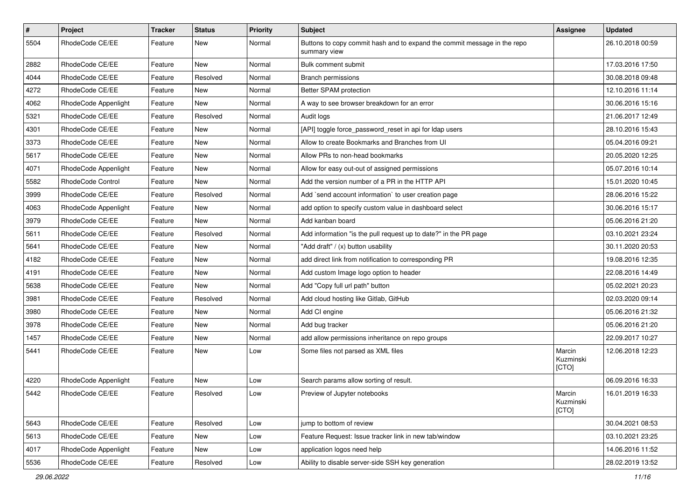| $\pmb{\#}$ | Project              | <b>Tracker</b> | <b>Status</b> | Priority | Subject                                                                                  | Assignee                     | <b>Updated</b>   |
|------------|----------------------|----------------|---------------|----------|------------------------------------------------------------------------------------------|------------------------------|------------------|
| 5504       | RhodeCode CE/EE      | Feature        | New           | Normal   | Buttons to copy commit hash and to expand the commit message in the repo<br>summary view |                              | 26.10.2018 00:59 |
| 2882       | RhodeCode CE/EE      | Feature        | New           | Normal   | Bulk comment submit                                                                      |                              | 17.03.2016 17:50 |
| 4044       | RhodeCode CE/EE      | Feature        | Resolved      | Normal   | <b>Branch permissions</b>                                                                |                              | 30.08.2018 09:48 |
| 4272       | RhodeCode CE/EE      | Feature        | <b>New</b>    | Normal   | Better SPAM protection                                                                   |                              | 12.10.2016 11:14 |
| 4062       | RhodeCode Appenlight | Feature        | <b>New</b>    | Normal   | A way to see browser breakdown for an error                                              |                              | 30.06.2016 15:16 |
| 5321       | RhodeCode CE/EE      | Feature        | Resolved      | Normal   | Audit logs                                                                               |                              | 21.06.2017 12:49 |
| 4301       | RhodeCode CE/EE      | Feature        | New           | Normal   | [API] toggle force password reset in api for Idap users                                  |                              | 28.10.2016 15:43 |
| 3373       | RhodeCode CE/EE      | Feature        | <b>New</b>    | Normal   | Allow to create Bookmarks and Branches from UI                                           |                              | 05.04.2016 09:21 |
| 5617       | RhodeCode CE/EE      | Feature        | <b>New</b>    | Normal   | Allow PRs to non-head bookmarks                                                          |                              | 20.05.2020 12:25 |
| 4071       | RhodeCode Appenlight | Feature        | New           | Normal   | Allow for easy out-out of assigned permissions                                           |                              | 05.07.2016 10:14 |
| 5582       | RhodeCode Control    | Feature        | New           | Normal   | Add the version number of a PR in the HTTP API                                           |                              | 15.01.2020 10:45 |
| 3999       | RhodeCode CE/EE      | Feature        | Resolved      | Normal   | Add `send account information` to user creation page                                     |                              | 28.06.2016 15:22 |
| 4063       | RhodeCode Appenlight | Feature        | New           | Normal   | add option to specify custom value in dashboard select                                   |                              | 30.06.2016 15:17 |
| 3979       | RhodeCode CE/EE      | Feature        | New           | Normal   | Add kanban board                                                                         |                              | 05.06.2016 21:20 |
| 5611       | RhodeCode CE/EE      | Feature        | Resolved      | Normal   | Add information "is the pull request up to date?" in the PR page                         |                              | 03.10.2021 23:24 |
| 5641       | RhodeCode CE/EE      | Feature        | New           | Normal   | "Add draft" / (x) button usability                                                       |                              | 30.11.2020 20:53 |
| 4182       | RhodeCode CE/EE      | Feature        | <b>New</b>    | Normal   | add direct link from notification to corresponding PR                                    |                              | 19.08.2016 12:35 |
| 4191       | RhodeCode CE/EE      | Feature        | New           | Normal   | Add custom Image logo option to header                                                   |                              | 22.08.2016 14:49 |
| 5638       | RhodeCode CE/EE      | Feature        | <b>New</b>    | Normal   | Add "Copy full url path" button                                                          |                              | 05.02.2021 20:23 |
| 3981       | RhodeCode CE/EE      | Feature        | Resolved      | Normal   | Add cloud hosting like Gitlab, GitHub                                                    |                              | 02.03.2020 09:14 |
| 3980       | RhodeCode CE/EE      | Feature        | New           | Normal   | Add CI engine                                                                            |                              | 05.06.2016 21:32 |
| 3978       | RhodeCode CE/EE      | Feature        | <b>New</b>    | Normal   | Add bug tracker                                                                          |                              | 05.06.2016 21:20 |
| 1457       | RhodeCode CE/EE      | Feature        | New           | Normal   | add allow permissions inheritance on repo groups                                         |                              | 22.09.2017 10:27 |
| 5441       | RhodeCode CE/EE      | Feature        | New           | Low      | Some files not parsed as XML files                                                       | Marcin<br>Kuzminski<br>[CTO] | 12.06.2018 12:23 |
| 4220       | RhodeCode Appenlight | Feature        | New           | Low      | Search params allow sorting of result.                                                   |                              | 06.09.2016 16:33 |
| 5442       | RhodeCode CE/EE      | Feature        | Resolved      | Low      | Preview of Jupyter notebooks                                                             | Marcin<br>Kuzminski<br>[CTO] | 16.01.2019 16:33 |
| 5643       | RhodeCode CE/EE      | Feature        | Resolved      | Low      | jump to bottom of review                                                                 |                              | 30.04.2021 08:53 |
| 5613       | RhodeCode CE/EE      | Feature        | New           | Low      | Feature Request: Issue tracker link in new tab/window                                    |                              | 03.10.2021 23:25 |
| 4017       | RhodeCode Appenlight | Feature        | New           | Low      | application logos need help                                                              |                              | 14.06.2016 11:52 |
| 5536       | RhodeCode CE/EE      | Feature        | Resolved      | Low      | Ability to disable server-side SSH key generation                                        |                              | 28.02.2019 13:52 |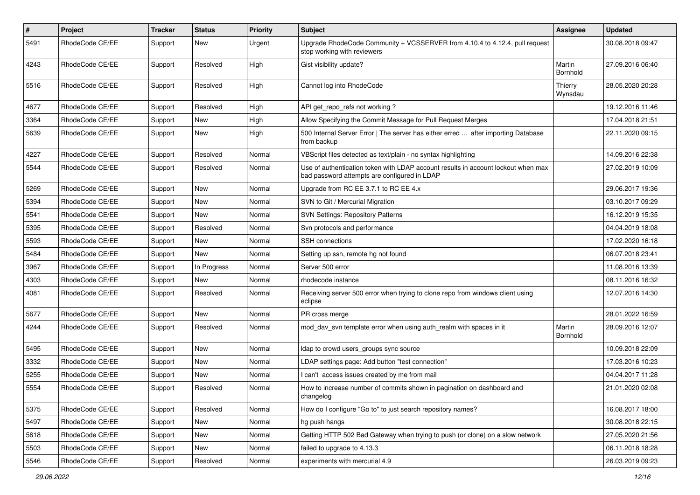| $\sharp$ | Project         | Tracker | <b>Status</b> | <b>Priority</b> | Subject                                                                                                                           | Assignee           | <b>Updated</b>   |
|----------|-----------------|---------|---------------|-----------------|-----------------------------------------------------------------------------------------------------------------------------------|--------------------|------------------|
| 5491     | RhodeCode CE/EE | Support | New           | Urgent          | Upgrade RhodeCode Community + VCSSERVER from 4.10.4 to 4.12.4, pull request<br>stop working with reviewers                        |                    | 30.08.2018 09:47 |
| 4243     | RhodeCode CE/EE | Support | Resolved      | High            | Gist visibility update?                                                                                                           | Martin<br>Bornhold | 27.09.2016 06:40 |
| 5516     | RhodeCode CE/EE | Support | Resolved      | High            | Cannot log into RhodeCode                                                                                                         | Thierry<br>Wynsdau | 28.05.2020 20:28 |
| 4677     | RhodeCode CE/EE | Support | Resolved      | High            | API get_repo_refs not working?                                                                                                    |                    | 19.12.2016 11:46 |
| 3364     | RhodeCode CE/EE | Support | New           | High            | Allow Specifying the Commit Message for Pull Request Merges                                                                       |                    | 17.04.2018 21:51 |
| 5639     | RhodeCode CE/EE | Support | New           | High            | 500 Internal Server Error   The server has either erred  after importing Database<br>from backup                                  |                    | 22.11.2020 09:15 |
| 4227     | RhodeCode CE/EE | Support | Resolved      | Normal          | VBScript files detected as text/plain - no syntax highlighting                                                                    |                    | 14.09.2016 22:38 |
| 5544     | RhodeCode CE/EE | Support | Resolved      | Normal          | Use of authentication token with LDAP account results in account lockout when max<br>bad password attempts are configured in LDAP |                    | 27.02.2019 10:09 |
| 5269     | RhodeCode CE/EE | Support | <b>New</b>    | Normal          | Upgrade from RC EE 3.7.1 to RC EE 4.x                                                                                             |                    | 29.06.2017 19:36 |
| 5394     | RhodeCode CE/EE | Support | New           | Normal          | SVN to Git / Mercurial Migration                                                                                                  |                    | 03.10.2017 09:29 |
| 5541     | RhodeCode CE/EE | Support | <b>New</b>    | Normal          | <b>SVN Settings: Repository Patterns</b>                                                                                          |                    | 16.12.2019 15:35 |
| 5395     | RhodeCode CE/EE | Support | Resolved      | Normal          | Svn protocols and performance                                                                                                     |                    | 04.04.2019 18:08 |
| 5593     | RhodeCode CE/EE | Support | New           | Normal          | SSH connections                                                                                                                   |                    | 17.02.2020 16:18 |
| 5484     | RhodeCode CE/EE | Support | New           | Normal          | Setting up ssh, remote hg not found                                                                                               |                    | 06.07.2018 23:41 |
| 3967     | RhodeCode CE/EE | Support | In Progress   | Normal          | Server 500 error                                                                                                                  |                    | 11.08.2016 13:39 |
| 4303     | RhodeCode CE/EE | Support | <b>New</b>    | Normal          | rhodecode instance                                                                                                                |                    | 08.11.2016 16:32 |
| 4081     | RhodeCode CE/EE | Support | Resolved      | Normal          | Receiving server 500 error when trying to clone repo from windows client using<br>eclipse                                         |                    | 12.07.2016 14:30 |
| 5677     | RhodeCode CE/EE | Support | <b>New</b>    | Normal          | PR cross merge                                                                                                                    |                    | 28.01.2022 16:59 |
| 4244     | RhodeCode CE/EE | Support | Resolved      | Normal          | mod_dav_svn template error when using auth_realm with spaces in it                                                                | Martin<br>Bornhold | 28.09.2016 12:07 |
| 5495     | RhodeCode CE/EE | Support | New           | Normal          | Idap to crowd users_groups sync source                                                                                            |                    | 10.09.2018 22:09 |
| 3332     | RhodeCode CE/EE | Support | New           | Normal          | LDAP settings page: Add button "test connection"                                                                                  |                    | 17.03.2016 10:23 |
| 5255     | RhodeCode CE/EE | Support | <b>New</b>    | Normal          | I can't access issues created by me from mail                                                                                     |                    | 04.04.2017 11:28 |
| 5554     | RhodeCode CE/EE | Support | Resolved      | Normal          | How to increase number of commits shown in pagination on dashboard and<br>changelog                                               |                    | 21.01.2020 02:08 |
| 5375     | RhodeCode CE/EE | Support | Resolved      | Normal          | How do I configure "Go to" to just search repository names?                                                                       |                    | 16.08.2017 18:00 |
| 5497     | RhodeCode CE/EE | Support | New           | Normal          | hg push hangs                                                                                                                     |                    | 30.08.2018 22:15 |
| 5618     | RhodeCode CE/EE | Support | <b>New</b>    | Normal          | Getting HTTP 502 Bad Gateway when trying to push (or clone) on a slow network                                                     |                    | 27.05.2020 21:56 |
| 5503     | RhodeCode CE/EE | Support | New           | Normal          | failed to upgrade to 4.13.3                                                                                                       |                    | 06.11.2018 18:28 |
| 5546     | RhodeCode CE/EE | Support | Resolved      | Normal          | experiments with mercurial 4.9                                                                                                    |                    | 26.03.2019 09:23 |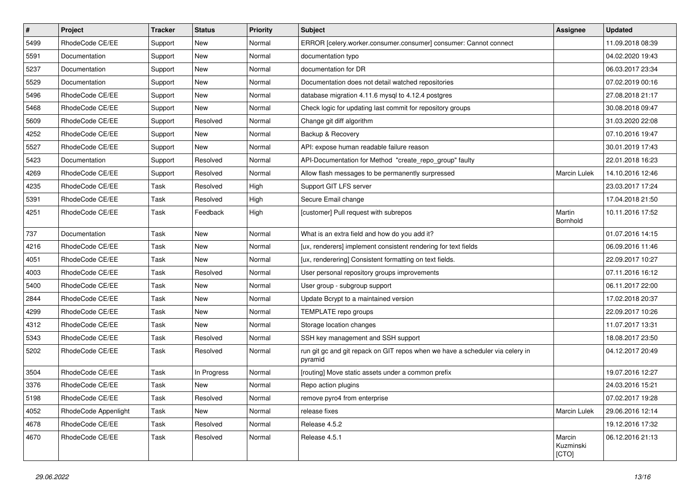| $\vert$ # | Project              | Tracker | <b>Status</b> | <b>Priority</b> | <b>Subject</b>                                                                           | Assignee                     | <b>Updated</b>   |
|-----------|----------------------|---------|---------------|-----------------|------------------------------------------------------------------------------------------|------------------------------|------------------|
| 5499      | RhodeCode CE/EE      | Support | New           | Normal          | ERROR [celery.worker.consumer.consumer] consumer: Cannot connect                         |                              | 11.09.2018 08:39 |
| 5591      | Documentation        | Support | <b>New</b>    | Normal          | documentation typo                                                                       |                              | 04.02.2020 19:43 |
| 5237      | Documentation        | Support | New           | Normal          | documentation for DR                                                                     |                              | 06.03.2017 23:34 |
| 5529      | Documentation        | Support | New           | Normal          | Documentation does not detail watched repositories                                       |                              | 07.02.2019 00:16 |
| 5496      | RhodeCode CE/EE      | Support | New           | Normal          | database migration 4.11.6 mysql to 4.12.4 postgres                                       |                              | 27.08.2018 21:17 |
| 5468      | RhodeCode CE/EE      | Support | New           | Normal          | Check logic for updating last commit for repository groups                               |                              | 30.08.2018 09:47 |
| 5609      | RhodeCode CE/EE      | Support | Resolved      | Normal          | Change git diff algorithm                                                                |                              | 31.03.2020 22:08 |
| 4252      | RhodeCode CE/EE      | Support | New           | Normal          | Backup & Recovery                                                                        |                              | 07.10.2016 19:47 |
| 5527      | RhodeCode CE/EE      | Support | New           | Normal          | API: expose human readable failure reason                                                |                              | 30.01.2019 17:43 |
| 5423      | Documentation        | Support | Resolved      | Normal          | API-Documentation for Method "create_repo_group" faulty                                  |                              | 22.01.2018 16:23 |
| 4269      | RhodeCode CE/EE      | Support | Resolved      | Normal          | Allow flash messages to be permanently surpressed                                        | <b>Marcin Lulek</b>          | 14.10.2016 12:46 |
| 4235      | RhodeCode CE/EE      | Task    | Resolved      | High            | Support GIT LFS server                                                                   |                              | 23.03.2017 17:24 |
| 5391      | RhodeCode CE/EE      | Task    | Resolved      | High            | Secure Email change                                                                      |                              | 17.04.2018 21:50 |
| 4251      | RhodeCode CE/EE      | Task    | Feedback      | High            | [customer] Pull request with subrepos                                                    | Martin<br>Bornhold           | 10.11.2016 17:52 |
| 737       | Documentation        | Task    | New           | Normal          | What is an extra field and how do you add it?                                            |                              | 01.07.2016 14:15 |
| 4216      | RhodeCode CE/EE      | Task    | New           | Normal          | [ux, renderers] implement consistent rendering for text fields                           |                              | 06.09.2016 11:46 |
| 4051      | RhodeCode CE/EE      | Task    | <b>New</b>    | Normal          | [ux, renderering] Consistent formatting on text fields.                                  |                              | 22.09.2017 10:27 |
| 4003      | RhodeCode CE/EE      | Task    | Resolved      | Normal          | User personal repository groups improvements                                             |                              | 07.11.2016 16:12 |
| 5400      | RhodeCode CE/EE      | Task    | New           | Normal          | User group - subgroup support                                                            |                              | 06.11.2017 22:00 |
| 2844      | RhodeCode CE/EE      | Task    | New           | Normal          | Update Bcrypt to a maintained version                                                    |                              | 17.02.2018 20:37 |
| 4299      | RhodeCode CE/EE      | Task    | New           | Normal          | TEMPLATE repo groups                                                                     |                              | 22.09.2017 10:26 |
| 4312      | RhodeCode CE/EE      | Task    | New           | Normal          | Storage location changes                                                                 |                              | 11.07.2017 13:31 |
| 5343      | RhodeCode CE/EE      | Task    | Resolved      | Normal          | SSH key management and SSH support                                                       |                              | 18.08.2017 23:50 |
| 5202      | RhodeCode CE/EE      | Task    | Resolved      | Normal          | run git gc and git repack on GIT repos when we have a scheduler via celery in<br>pyramid |                              | 04.12.2017 20:49 |
| 3504      | RhodeCode CE/EE      | Task    | In Progress   | Normal          | [routing] Move static assets under a common prefix                                       |                              | 19.07.2016 12:27 |
| 3376      | RhodeCode CE/EE      | Task    | New           | Normal          | Repo action plugins                                                                      |                              | 24.03.2016 15:21 |
| 5198      | RhodeCode CE/EE      | Task    | Resolved      | Normal          | remove pyro4 from enterprise                                                             |                              | 07.02.2017 19:28 |
| 4052      | RhodeCode Appenlight | Task    | New           | Normal          | release fixes                                                                            | Marcin Lulek                 | 29.06.2016 12:14 |
| 4678      | RhodeCode CE/EE      | Task    | Resolved      | Normal          | Release 4.5.2                                                                            |                              | 19.12.2016 17:32 |
| 4670      | RhodeCode CE/EE      | Task    | Resolved      | Normal          | Release 4.5.1                                                                            | Marcin<br>Kuzminski<br>[CTO] | 06.12.2016 21:13 |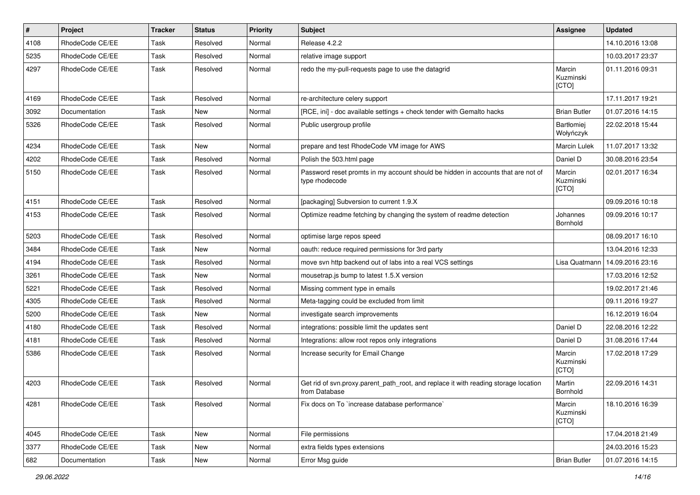| $\vert$ # | Project         | <b>Tracker</b> | <b>Status</b> | <b>Priority</b> | <b>Subject</b>                                                                                       | <b>Assignee</b>                | <b>Updated</b>   |
|-----------|-----------------|----------------|---------------|-----------------|------------------------------------------------------------------------------------------------------|--------------------------------|------------------|
| 4108      | RhodeCode CE/EE | Task           | Resolved      | Normal          | Release 4.2.2                                                                                        |                                | 14.10.2016 13:08 |
| 5235      | RhodeCode CE/EE | Task           | Resolved      | Normal          | relative image support                                                                               |                                | 10.03.2017 23:37 |
| 4297      | RhodeCode CE/EE | Task           | Resolved      | Normal          | redo the my-pull-requests page to use the datagrid                                                   | Marcin<br>Kuzminski<br>[CTO]   | 01.11.2016 09:31 |
| 4169      | RhodeCode CE/EE | Task           | Resolved      | Normal          | re-architecture celery support                                                                       |                                | 17.11.2017 19:21 |
| 3092      | Documentation   | Task           | New           | Normal          | [RCE, ini] - doc available settings + check tender with Gemalto hacks                                | <b>Brian Butler</b>            | 01.07.2016 14:15 |
| 5326      | RhodeCode CE/EE | Task           | Resolved      | Normal          | Public usergroup profile                                                                             | <b>Bartłomiej</b><br>Wołyńczyk | 22.02.2018 15:44 |
| 4234      | RhodeCode CE/EE | Task           | <b>New</b>    | Normal          | prepare and test RhodeCode VM image for AWS                                                          | <b>Marcin Lulek</b>            | 11.07.2017 13:32 |
| 4202      | RhodeCode CE/EE | Task           | Resolved      | Normal          | Polish the 503.html page                                                                             | Daniel D                       | 30.08.2016 23:54 |
| 5150      | RhodeCode CE/EE | Task           | Resolved      | Normal          | Password reset promts in my account should be hidden in accounts that are not of<br>type rhodecode   | Marcin<br>Kuzminski<br>[CTO]   | 02.01.2017 16:34 |
| 4151      | RhodeCode CE/EE | Task           | Resolved      | Normal          | [packaging] Subversion to current 1.9.X                                                              |                                | 09.09.2016 10:18 |
| 4153      | RhodeCode CE/EE | Task           | Resolved      | Normal          | Optimize readme fetching by changing the system of readme detection                                  | Johannes<br>Bornhold           | 09.09.2016 10:17 |
| 5203      | RhodeCode CE/EE | Task           | Resolved      | Normal          | optimise large repos speed                                                                           |                                | 08.09.2017 16:10 |
| 3484      | RhodeCode CE/EE | Task           | New           | Normal          | oauth: reduce required permissions for 3rd party                                                     |                                | 13.04.2016 12:33 |
| 4194      | RhodeCode CE/EE | Task           | Resolved      | Normal          | move svn http backend out of labs into a real VCS settings                                           | Lisa Quatmann                  | 14.09.2016 23:16 |
| 3261      | RhodeCode CE/EE | Task           | <b>New</b>    | Normal          | mousetrap.js bump to latest 1.5.X version                                                            |                                | 17.03.2016 12:52 |
| 5221      | RhodeCode CE/EE | Task           | Resolved      | Normal          | Missing comment type in emails                                                                       |                                | 19.02.2017 21:46 |
| 4305      | RhodeCode CE/EE | Task           | Resolved      | Normal          | Meta-tagging could be excluded from limit                                                            |                                | 09.11.2016 19:27 |
| 5200      | RhodeCode CE/EE | Task           | <b>New</b>    | Normal          | investigate search improvements                                                                      |                                | 16.12.2019 16:04 |
| 4180      | RhodeCode CE/EE | Task           | Resolved      | Normal          | integrations: possible limit the updates sent                                                        | Daniel D                       | 22.08.2016 12:22 |
| 4181      | RhodeCode CE/EE | Task           | Resolved      | Normal          | Integrations: allow root repos only integrations                                                     | Daniel D                       | 31.08.2016 17:44 |
| 5386      | RhodeCode CE/EE | Task           | Resolved      | Normal          | Increase security for Email Change                                                                   | Marcin<br>Kuzminski<br>[CTO]   | 17.02.2018 17:29 |
| 4203      | RhodeCode CE/EE | Task           | Resolved      | Normal          | Get rid of svn.proxy.parent_path_root, and replace it with reading storage location<br>from Database | Martin<br>Bornhold             | 22.09.2016 14:31 |
| 4281      | RhodeCode CE/EE | Task           | Resolved      | Normal          | Fix docs on To `increase database performance`                                                       | Marcin<br>Kuzminski<br>[CTO]   | 18.10.2016 16:39 |
| 4045      | RhodeCode CE/EE | Task           | New           | Normal          | File permissions                                                                                     |                                | 17.04.2018 21:49 |
| 3377      | RhodeCode CE/EE | Task           | New           | Normal          | extra fields types extensions                                                                        |                                | 24.03.2016 15:23 |
| 682       | Documentation   | Task           | New           | Normal          | Error Msg guide                                                                                      | <b>Brian Butler</b>            | 01.07.2016 14:15 |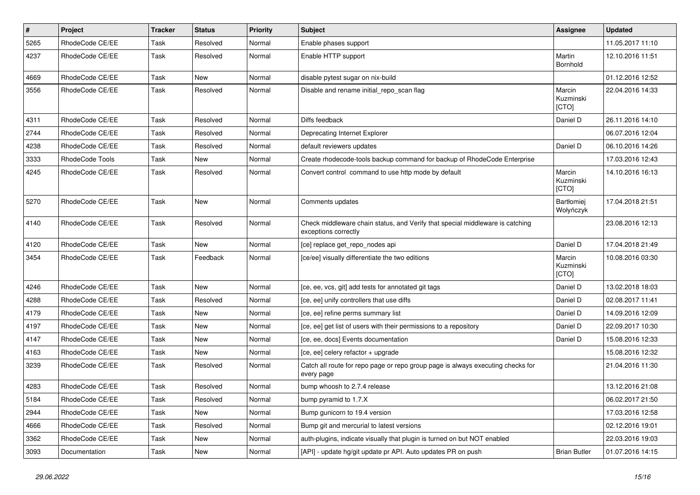| $\vert$ # | <b>Project</b>  | <b>Tracker</b> | <b>Status</b> | <b>Priority</b> | <b>Subject</b>                                                                                        | <b>Assignee</b>                | <b>Updated</b>   |
|-----------|-----------------|----------------|---------------|-----------------|-------------------------------------------------------------------------------------------------------|--------------------------------|------------------|
| 5265      | RhodeCode CE/EE | Task           | Resolved      | Normal          | Enable phases support                                                                                 |                                | 11.05.2017 11:10 |
| 4237      | RhodeCode CE/EE | Task           | Resolved      | Normal          | Enable HTTP support                                                                                   | Martin<br>Bornhold             | 12.10.2016 11:51 |
| 4669      | RhodeCode CE/EE | Task           | <b>New</b>    | Normal          | disable pytest sugar on nix-build                                                                     |                                | 01.12.2016 12:52 |
| 3556      | RhodeCode CE/EE | Task           | Resolved      | Normal          | Disable and rename initial_repo_scan flag                                                             | Marcin<br>Kuzminski<br>[CTO]   | 22.04.2016 14:33 |
| 4311      | RhodeCode CE/EE | Task           | Resolved      | Normal          | Diffs feedback                                                                                        | Daniel D                       | 26.11.2016 14:10 |
| 2744      | RhodeCode CE/EE | Task           | Resolved      | Normal          | Deprecating Internet Explorer                                                                         |                                | 06.07.2016 12:04 |
| 4238      | RhodeCode CE/EE | Task           | Resolved      | Normal          | default reviewers updates                                                                             | Daniel D                       | 06.10.2016 14:26 |
| 3333      | RhodeCode Tools | Task           | <b>New</b>    | Normal          | Create rhodecode-tools backup command for backup of RhodeCode Enterprise                              |                                | 17.03.2016 12:43 |
| 4245      | RhodeCode CE/EE | Task           | Resolved      | Normal          | Convert control command to use http mode by default                                                   | Marcin<br>Kuzminski<br>[CTO]   | 14.10.2016 16:13 |
| 5270      | RhodeCode CE/EE | Task           | <b>New</b>    | Normal          | Comments updates                                                                                      | <b>Bartłomiej</b><br>Wołyńczyk | 17.04.2018 21:51 |
| 4140      | RhodeCode CE/EE | Task           | Resolved      | Normal          | Check middleware chain status, and Verify that special middleware is catching<br>exceptions correctly |                                | 23.08.2016 12:13 |
| 4120      | RhodeCode CE/EE | Task           | <b>New</b>    | Normal          | [ce] replace get repo nodes api                                                                       | Daniel D                       | 17.04.2018 21:49 |
| 3454      | RhodeCode CE/EE | Task           | Feedback      | Normal          | [ce/ee] visually differentiate the two editions                                                       | Marcin<br>Kuzminski<br>[CTO]   | 10.08.2016 03:30 |
| 4246      | RhodeCode CE/EE | Task           | New           | Normal          | [ce, ee, vcs, git] add tests for annotated git tags                                                   | Daniel D                       | 13.02.2018 18:03 |
| 4288      | RhodeCode CE/EE | Task           | Resolved      | Normal          | [ce, ee] unify controllers that use diffs                                                             | Daniel D                       | 02.08.2017 11:41 |
| 4179      | RhodeCode CE/EE | Task           | New           | Normal          | [ce, ee] refine perms summary list                                                                    | Daniel D                       | 14.09.2016 12:09 |
| 4197      | RhodeCode CE/EE | Task           | New           | Normal          | [ce, ee] get list of users with their permissions to a repository                                     | Daniel D                       | 22.09.2017 10:30 |
| 4147      | RhodeCode CE/EE | Task           | New           | Normal          | [ce, ee, docs] Events documentation                                                                   | Daniel D                       | 15.08.2016 12:33 |
| 4163      | RhodeCode CE/EE | Task           | <b>New</b>    | Normal          | [ce, ee] celery refactor + upgrade                                                                    |                                | 15.08.2016 12:32 |
| 3239      | RhodeCode CE/EE | Task           | Resolved      | Normal          | Catch all route for repo page or repo group page is always executing checks for<br>every page         |                                | 21.04.2016 11:30 |
| 4283      | RhodeCode CE/EE | Task           | Resolved      | Normal          | bump whoosh to 2.7.4 release                                                                          |                                | 13.12.2016 21:08 |
| 5184      | RhodeCode CE/EE | Task           | Resolved      | Normal          | bump pyramid to 1.7.X                                                                                 |                                | 06.02.2017 21:50 |
| 2944      | RhodeCode CE/EE | Task           | <b>New</b>    | Normal          | Bump gunicorn to 19.4 version                                                                         |                                | 17.03.2016 12:58 |
| 4666      | RhodeCode CE/EE | Task           | Resolved      | Normal          | Bump git and mercurial to latest versions                                                             |                                | 02.12.2016 19:01 |
| 3362      | RhodeCode CE/EE | Task           | <b>New</b>    | Normal          | auth-plugins, indicate visually that plugin is turned on but NOT enabled                              |                                | 22.03.2016 19:03 |
| 3093      | Documentation   | Task           | <b>New</b>    | Normal          | [API] - update hg/git update pr API. Auto updates PR on push                                          | <b>Brian Butler</b>            | 01.07.2016 14:15 |